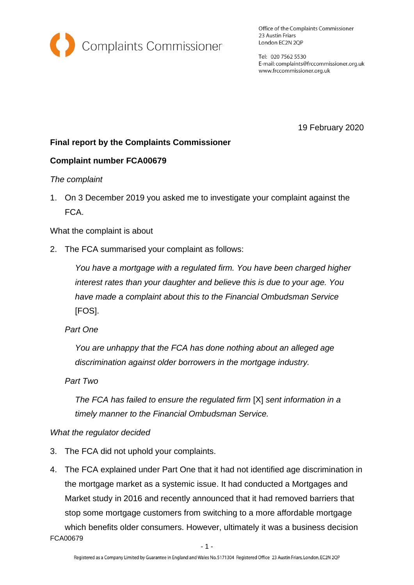

Office of the Complaints Commissioner 23 Austin Friars London EC2N 2QP

Tel: 020 7562 5530 E-mail: complaints@frccommissioner.org.uk www.frccommissioner.org.uk

19 February 2020

# **Final report by the Complaints Commissioner**

## **Complaint number FCA00679**

### *The complaint*

1. On 3 December 2019 you asked me to investigate your complaint against the FCA.

What the complaint is about

2. The FCA summarised your complaint as follows:

*You have a mortgage with a regulated firm. You have been charged higher interest rates than your daughter and believe this is due to your age. You have made a complaint about this to the Financial Ombudsman Service* [FOS].

*Part One*

*You are unhappy that the FCA has done nothing about an alleged age discrimination against older borrowers in the mortgage industry.*

*Part Two*

*The FCA has failed to ensure the regulated firm* [X] *sent information in a timely manner to the Financial Ombudsman Service.*

### *What the regulator decided*

- 3. The FCA did not uphold your complaints.
- FCA00679 4. The FCA explained under Part One that it had not identified age discrimination in the mortgage market as a systemic issue. It had conducted a Mortgages and Market study in 2016 and recently announced that it had removed barriers that stop some mortgage customers from switching to a more affordable mortgage which benefits older consumers. However, ultimately it was a business decision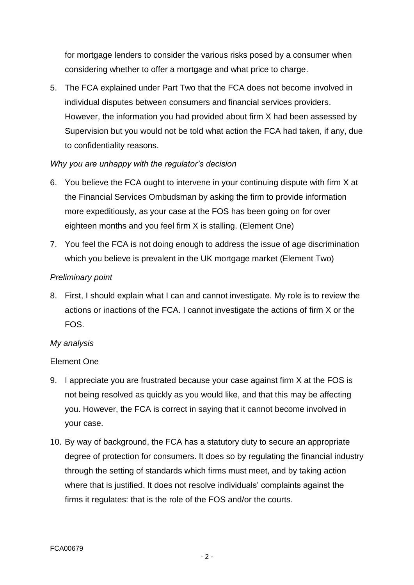for mortgage lenders to consider the various risks posed by a consumer when considering whether to offer a mortgage and what price to charge.

5. The FCA explained under Part Two that the FCA does not become involved in individual disputes between consumers and financial services providers. However, the information you had provided about firm X had been assessed by Supervision but you would not be told what action the FCA had taken, if any, due to confidentiality reasons.

### *Why you are unhappy with the regulator's decision*

- 6. You believe the FCA ought to intervene in your continuing dispute with firm X at the Financial Services Ombudsman by asking the firm to provide information more expeditiously, as your case at the FOS has been going on for over eighteen months and you feel firm X is stalling. (Element One)
- 7. You feel the FCA is not doing enough to address the issue of age discrimination which you believe is prevalent in the UK mortgage market (Element Two)

### *Preliminary point*

8. First, I should explain what I can and cannot investigate. My role is to review the actions or inactions of the FCA. I cannot investigate the actions of firm X or the FOS.

### *My analysis*

### Element One

- 9. I appreciate you are frustrated because your case against firm X at the FOS is not being resolved as quickly as you would like, and that this may be affecting you. However, the FCA is correct in saying that it cannot become involved in your case.
- 10. By way of background, the FCA has a statutory duty to secure an appropriate degree of protection for consumers. It does so by regulating the financial industry through the setting of standards which firms must meet, and by taking action where that is justified. It does not resolve individuals' complaints against the firms it regulates: that is the role of the FOS and/or the courts.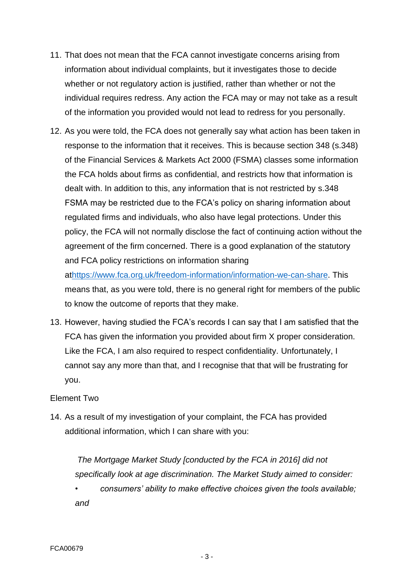- 11. That does not mean that the FCA cannot investigate concerns arising from information about individual complaints, but it investigates those to decide whether or not regulatory action is justified, rather than whether or not the individual requires redress. Any action the FCA may or may not take as a result of the information you provided would not lead to redress for you personally.
- 12. As you were told, the FCA does not generally say what action has been taken in response to the information that it receives. This is because section 348 (s.348) of the Financial Services & Markets Act 2000 (FSMA) classes some information the FCA holds about firms as confidential, and restricts how that information is dealt with. In addition to this, any information that is not restricted by s.348 FSMA may be restricted due to the FCA's policy on sharing information about regulated firms and individuals, who also have legal protections. Under this policy, the FCA will not normally disclose the fact of continuing action without the agreement of the firm concerned. There is a good explanation of the statutory and FCA policy restrictions on information sharing

a[thttps://www.fca.org.uk/freedom-information/information-we-can-share.](https://www.fca.org.uk/freedom-information/information-we-can-share) This means that, as you were told, there is no general right for members of the public to know the outcome of reports that they make.

13. However, having studied the FCA's records I can say that I am satisfied that the FCA has given the information you provided about firm X proper consideration. Like the FCA, I am also required to respect confidentiality. Unfortunately, I cannot say any more than that, and I recognise that that will be frustrating for you.

#### Element Two

14. As a result of my investigation of your complaint, the FCA has provided additional information, which I can share with you:

*The Mortgage Market Study [conducted by the FCA in 2016] did not specifically look at age discrimination. The Market Study aimed to consider:* 

• *consumers' ability to make effective choices given the tools available; and*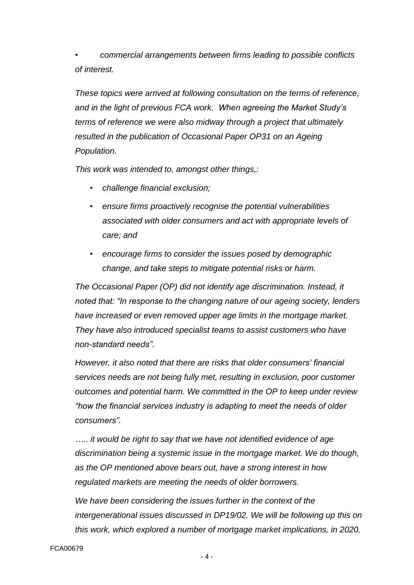• *commercial arrangements between firms leading to possible conflicts of interest.* 

*These topics were arrived at following consultation on the terms of reference, and in the light of previous FCA work. When agreeing the Market Study's terms of reference we were also midway through a project that ultimately resulted in the publication of Occasional Paper OP31 on an Ageing Population.* 

*This work was intended to, amongst other things,:* 

- *challenge financial exclusion;*
- *ensure firms proactively recognise the potential vulnerabilities associated with older consumers and act with appropriate levels of care; and*
- *encourage firms to consider the issues posed by demographic change, and take steps to mitigate potential risks or harm.*

*The Occasional Paper (OP) did not identify age discrimination. Instead, it noted that: "In response to the changing nature of our ageing society, lenders have increased or even removed upper age limits in the mortgage market. They have also introduced specialist teams to assist customers who have non-standard needs".* 

*However, it also noted that there are risks that older consumers' financial services needs are not being fully met, resulting in exclusion, poor customer outcomes and potential harm. We committed in the OP to keep under review "how the financial services industry is adapting to meet the needs of older consumers".* 

*….. it would be right to say that we have not identified evidence of age discrimination being a systemic issue in the mortgage market. We do though, as the OP mentioned above bears out, have a strong interest in how regulated markets are meeting the needs of older borrowers.* 

*We have been considering the issues further in the context of the intergenerational issues discussed in DP19/02. We will be following up this on this work, which explored a number of mortgage market implications, in 2020.*